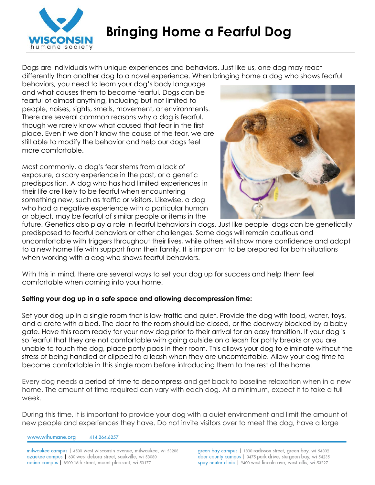

Dogs are individuals with unique experiences and behaviors. Just like us, one dog may react differently than another dog to a novel experience. When bringing home a dog who shows fearful

behaviors, you need to learn your dog's body language and what causes them to become fearful. Dogs can be fearful of almost anything, including but not limited to people, noises, sights, smells, movement, or environments. There are several common reasons why a dog is fearful, though we rarely know what caused that fear in the first place. Even if we don't know the cause of the fear, we are still able to modify the behavior and help our dogs feel more comfortable.

Most commonly, a dog's fear stems from a lack of exposure, a scary experience in the past, or a genetic predisposition. A dog who has had limited experiences in their life are likely to be fearful when encountering something new, such as traffic or visitors. Likewise, a dog who had a negative experience with a particular human or object, may be fearful of similar people or items in the



future. Genetics also play a role in fearful behaviors in dogs. Just like people, dogs can be genetically predisposed to fearful behaviors or other challenges. Some dogs will remain cautious and uncomfortable with triggers throughout their lives, while others will show more confidence and adapt to a new home life with support from their family. It is important to be prepared for both situations when working with a dog who shows fearful behaviors.

With this in mind, there are several ways to set your dog up for success and help them feel comfortable when coming into your home.

## **Setting your dog up in a safe space and allowing decompression time:**

Set your dog up in a single room that is low-traffic and quiet. Provide the dog with food, water, toys, and a crate with a bed. The door to the room should be closed, or the doorway blocked by a baby gate. Have this room ready for your new dog prior to their arrival for an easy transition. If your dog is so fearful that they are not comfortable with going outside on a leash for potty breaks or you are unable to touch the dog, place potty pads in their room. This allows your dog to eliminate without the stress of being handled or clipped to a leash when they are uncomfortable. Allow your dog time to become comfortable in this single room before introducing them to the rest of the home.

Every dog needs a [period of time to decompress](http://www.pawrescue.org/PAW/PETTIPS/DogTip_ShelterDogAdjust.php) and get back to baseline relaxation when in a new home. The amount of time required can vary with each dog. At a minimum, expect it to take a full week.

During this time, it is important to provide your dog with a quiet environment and limit the amount of new people and experiences they have. Do not invite visitors over to meet the dog, have a large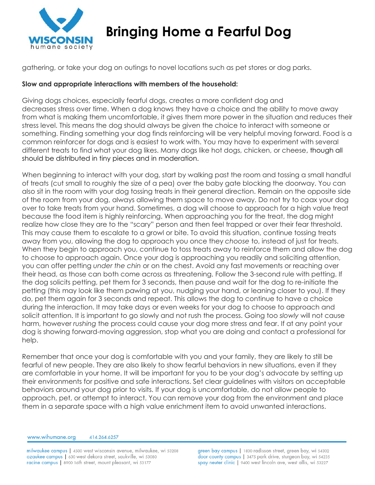

## **Bringing Home a Fearful Dog**

gathering, or take your dog on outings to novel locations such as pet stores or dog parks.

## **Slow and appropriate interactions with members of the household:**

Giving dogs choices, especially fearful dogs, creates a more confident dog and decreases stress over time. When a dog knows they have a choice and the ability to move away from what is making them uncomfortable, it gives them more power in the situation and reduces their stress level. This means the dog should always be given the choice to interact with someone or something. Finding something your dog finds reinforcing will be very helpful moving forward. Food is a common reinforcer for dogs and is easiest to work with. You may have to experiment with several different treats to find what your dog likes. Many dogs like hot dogs, chicken, or cheese, though all should be distributed in tiny pieces and in moderation.

When beginning to interact with your dog, start by walking past the room and tossing a small handful of treats (cut small to roughly the size of a pea) over the baby gate blocking the doorway. You can also sit in the room with your dog tossing treats in their general direction. Remain on the opposite side of the room from your dog, always allowing them space to move away. Do not try to coax your dog over to take treats from your hand. Sometimes, a dog will choose to approach for a high value treat because the food item is highly reinforcing. When approaching you for the treat, the dog might realize how close they are to the "scary" person and then feel trapped or over their fear threshold. This may cause them to escalate to a growl or bite. To avoid this situation, continue tossing treats away from you, allowing the dog to approach you once they *choose* to, instead of just for treats. When they begin to approach you, continue to toss treats away to reinforce them and allow the dog to choose to approach again. Once your dog is approaching you readily and soliciting attention, you can offer petting *under the chin* or on the chest. Avoid any fast movements or reaching over their head, as those can both come across as threatening. Follow the 3-second rule with petting. If the dog solicits petting, pet them for 3 seconds, then pause and wait for the dog to re-initiate the petting (this may look like them pawing at you, nudging your hand, or leaning closer to you). If they do, pet them again for 3 seconds and repeat. This allows the dog to continue to have a choice during the interaction. It may take days or even weeks for your dog to choose to approach and solicit attention. It is important to go slowly and not rush the process. Going too *slowly* will not cause harm, however *rushing* the process could cause your dog more stress and fear. If at any point your dog is showing forward-moving aggression, stop what you are doing and contact a professional for help.

Remember that once your dog is comfortable with you and your family, they are likely to still be fearful of new people. They are also likely to show fearful behaviors in new situations, even if they are comfortable in your home. It will be important for you to be your dog's advocate by setting up their environments for positive and safe interactions. Set clear guidelines with visitors on acceptable behaviors around your dog prior to visits. If your dog is uncomfortable, do not allow people to approach, pet, or attempt to interact. You can remove your dog from the environment and place them in a separate space with a high value enrichment item to avoid unwanted interactions.